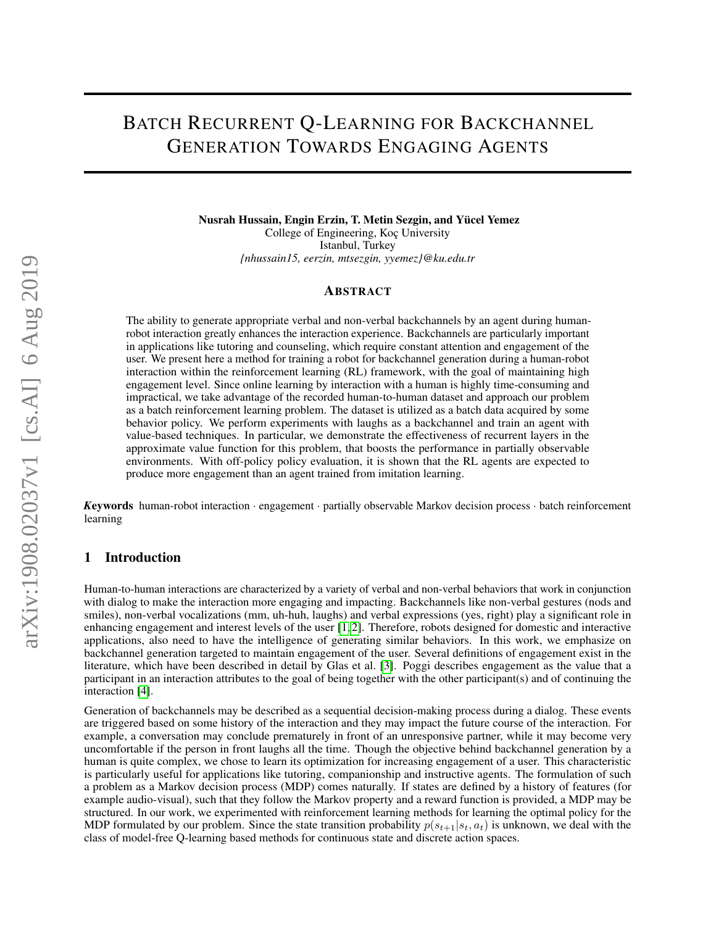# BATCH RECURRENT Q-LEARNING FOR BACKCHANNEL GENERATION TOWARDS ENGAGING AGENTS

Nusrah Hussain, Engin Erzin, T. Metin Sezgin, and Yücel Yemez College of Engineering, Koç University Istanbul, Turkey *{nhussain15, eerzin, mtsezgin, yyemez}@ku.edu.tr*

### **ABSTRACT**

The ability to generate appropriate verbal and non-verbal backchannels by an agent during humanrobot interaction greatly enhances the interaction experience. Backchannels are particularly important in applications like tutoring and counseling, which require constant attention and engagement of the user. We present here a method for training a robot for backchannel generation during a human-robot interaction within the reinforcement learning (RL) framework, with the goal of maintaining high engagement level. Since online learning by interaction with a human is highly time-consuming and impractical, we take advantage of the recorded human-to-human dataset and approach our problem as a batch reinforcement learning problem. The dataset is utilized as a batch data acquired by some behavior policy. We perform experiments with laughs as a backchannel and train an agent with value-based techniques. In particular, we demonstrate the effectiveness of recurrent layers in the approximate value function for this problem, that boosts the performance in partially observable environments. With off-policy policy evaluation, it is shown that the RL agents are expected to produce more engagement than an agent trained from imitation learning.

*K*eywords human-robot interaction · engagement · partially observable Markov decision process · batch reinforcement learning

### 1 Introduction

Human-to-human interactions are characterized by a variety of verbal and non-verbal behaviors that work in conjunction with dialog to make the interaction more engaging and impacting. Backchannels like non-verbal gestures (nods and smiles), non-verbal vocalizations (mm, uh-huh, laughs) and verbal expressions (yes, right) play a significant role in enhancing engagement and interest levels of the user [\[1,](#page-6-0) [2\]](#page-6-1). Therefore, robots designed for domestic and interactive applications, also need to have the intelligence of generating similar behaviors. In this work, we emphasize on backchannel generation targeted to maintain engagement of the user. Several definitions of engagement exist in the literature, which have been described in detail by Glas et al. [\[3\]](#page-6-2). Poggi describes engagement as the value that a participant in an interaction attributes to the goal of being together with the other participant(s) and of continuing the interaction [\[4\]](#page-6-3).

Generation of backchannels may be described as a sequential decision-making process during a dialog. These events are triggered based on some history of the interaction and they may impact the future course of the interaction. For example, a conversation may conclude prematurely in front of an unresponsive partner, while it may become very uncomfortable if the person in front laughs all the time. Though the objective behind backchannel generation by a human is quite complex, we chose to learn its optimization for increasing engagement of a user. This characteristic is particularly useful for applications like tutoring, companionship and instructive agents. The formulation of such a problem as a Markov decision process (MDP) comes naturally. If states are defined by a history of features (for example audio-visual), such that they follow the Markov property and a reward function is provided, a MDP may be structured. In our work, we experimented with reinforcement learning methods for learning the optimal policy for the MDP formulated by our problem. Since the state transition probability  $p(s_{t+1}|s_t, a_t)$  is unknown, we deal with the class of model-free Q-learning based methods for continuous state and discrete action spaces.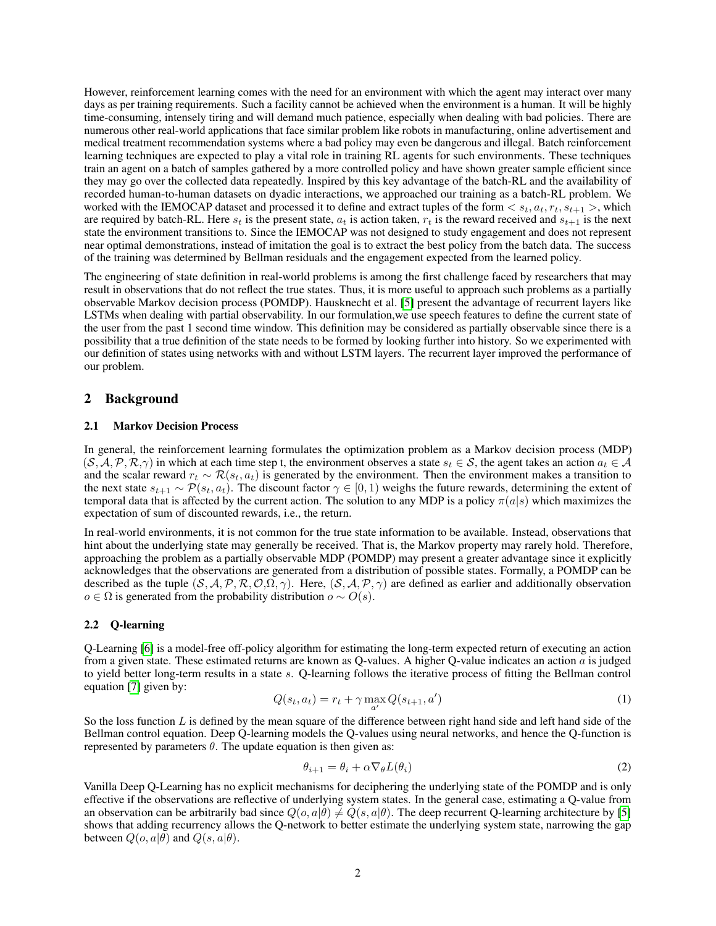However, reinforcement learning comes with the need for an environment with which the agent may interact over many days as per training requirements. Such a facility cannot be achieved when the environment is a human. It will be highly time-consuming, intensely tiring and will demand much patience, especially when dealing with bad policies. There are numerous other real-world applications that face similar problem like robots in manufacturing, online advertisement and medical treatment recommendation systems where a bad policy may even be dangerous and illegal. Batch reinforcement learning techniques are expected to play a vital role in training RL agents for such environments. These techniques train an agent on a batch of samples gathered by a more controlled policy and have shown greater sample efficient since they may go over the collected data repeatedly. Inspired by this key advantage of the batch-RL and the availability of recorded human-to-human datasets on dyadic interactions, we approached our training as a batch-RL problem. We worked with the IEMOCAP dataset and processed it to define and extract tuples of the form  $\lt s_t, a_t, r_t, s_{t+1} >$ , which are required by batch-RL. Here  $s_t$  is the present state,  $a_t$  is action taken,  $r_t$  is the reward received and  $s_{t+1}$  is the next state the environment transitions to. Since the IEMOCAP was not designed to study engagement and does not represent near optimal demonstrations, instead of imitation the goal is to extract the best policy from the batch data. The success of the training was determined by Bellman residuals and the engagement expected from the learned policy.

The engineering of state definition in real-world problems is among the first challenge faced by researchers that may result in observations that do not reflect the true states. Thus, it is more useful to approach such problems as a partially observable Markov decision process (POMDP). Hausknecht et al. [\[5\]](#page-6-4) present the advantage of recurrent layers like LSTMs when dealing with partial observability. In our formulation,we use speech features to define the current state of the user from the past 1 second time window. This definition may be considered as partially observable since there is a possibility that a true definition of the state needs to be formed by looking further into history. So we experimented with our definition of states using networks with and without LSTM layers. The recurrent layer improved the performance of our problem.

# 2 Background

### 2.1 Markov Decision Process

In general, the reinforcement learning formulates the optimization problem as a Markov decision process (MDP)  $(S, A, P, R, \gamma)$  in which at each time step t, the environment observes a state  $s_t \in S$ , the agent takes an action  $a_t \in A$ and the scalar reward  $r_t \sim \mathcal{R}(s_t, a_t)$  is generated by the environment. Then the environment makes a transition to the next state  $s_{t+1} \sim \mathcal{P}(s_t, a_t)$ . The discount factor  $\gamma \in [0, 1)$  weighs the future rewards, determining the extent of temporal data that is affected by the current action. The solution to any MDP is a policy  $\pi(a|s)$  which maximizes the expectation of sum of discounted rewards, i.e., the return.

In real-world environments, it is not common for the true state information to be available. Instead, observations that hint about the underlying state may generally be received. That is, the Markov property may rarely hold. Therefore, approaching the problem as a partially observable MDP (POMDP) may present a greater advantage since it explicitly acknowledges that the observations are generated from a distribution of possible states. Formally, a POMDP can be described as the tuple  $(S, A, P, R, O, \Omega, \gamma)$ . Here,  $(S, A, P, \gamma)$  are defined as earlier and additionally observation  $o \in \Omega$  is generated from the probability distribution  $o \sim O(s)$ .

#### 2.2 Q-learning

Q-Learning [\[6\]](#page-6-5) is a model-free off-policy algorithm for estimating the long-term expected return of executing an action from a given state. These estimated returns are known as Q-values. A higher Q-value indicates an action a is judged to yield better long-term results in a state s. Q-learning follows the iterative process of fitting the Bellman control equation [\[7\]](#page-6-6) given by:

$$
Q(s_t, a_t) = r_t + \gamma \max_{a'} Q(s_{t+1}, a')
$$
 (1)

So the loss function  $L$  is defined by the mean square of the difference between right hand side and left hand side of the Bellman control equation. Deep Q-learning models the Q-values using neural networks, and hence the Q-function is represented by parameters  $\theta$ . The update equation is then given as:

$$
\theta_{i+1} = \theta_i + \alpha \nabla_{\theta} L(\theta_i)
$$
\n(2)

Vanilla Deep Q-Learning has no explicit mechanisms for deciphering the underlying state of the POMDP and is only effective if the observations are reflective of underlying system states. In the general case, estimating a Q-value from an observation can be arbitrarily bad since  $Q(o, a|\theta) \neq Q(s, a|\theta)$ . The deep recurrent Q-learning architecture by [\[5\]](#page-6-4) shows that adding recurrency allows the Q-network to better estimate the underlying system state, narrowing the gap between  $Q(o, a | \theta)$  and  $Q(s, a | \theta)$ .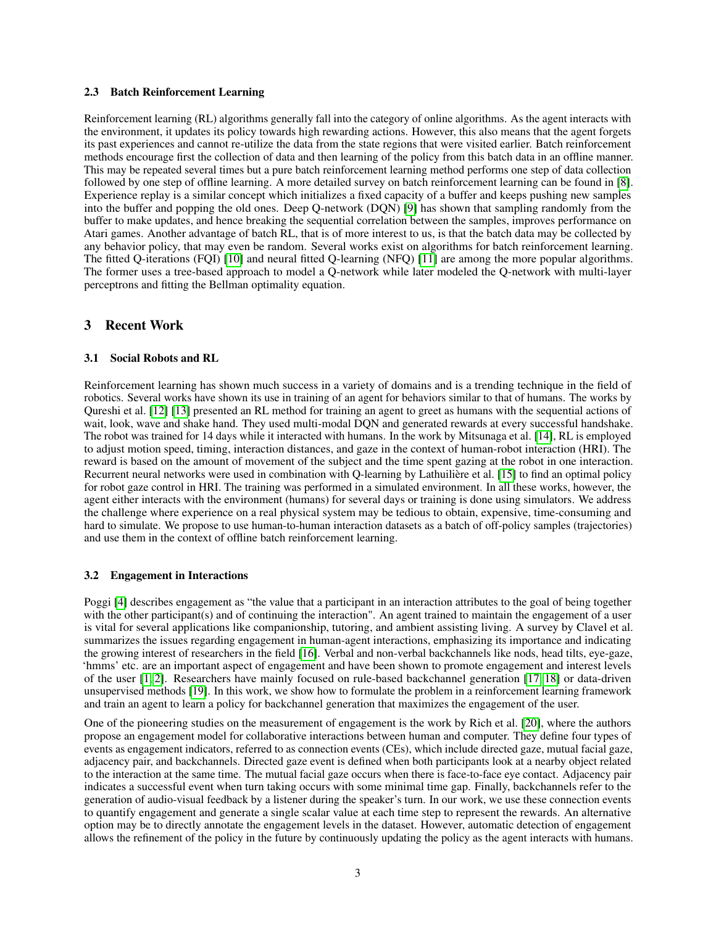### 2.3 Batch Reinforcement Learning

Reinforcement learning (RL) algorithms generally fall into the category of online algorithms. As the agent interacts with the environment, it updates its policy towards high rewarding actions. However, this also means that the agent forgets its past experiences and cannot re-utilize the data from the state regions that were visited earlier. Batch reinforcement methods encourage first the collection of data and then learning of the policy from this batch data in an offline manner. This may be repeated several times but a pure batch reinforcement learning method performs one step of data collection followed by one step of offline learning. A more detailed survey on batch reinforcement learning can be found in [\[8\]](#page-6-7). Experience replay is a similar concept which initializes a fixed capacity of a buffer and keeps pushing new samples into the buffer and popping the old ones. Deep Q-network (DQN) [\[9\]](#page-6-8) has shown that sampling randomly from the buffer to make updates, and hence breaking the sequential correlation between the samples, improves performance on Atari games. Another advantage of batch RL, that is of more interest to us, is that the batch data may be collected by any behavior policy, that may even be random. Several works exist on algorithms for batch reinforcement learning. The fitted Q-iterations (FQI) [\[10\]](#page-6-9) and neural fitted Q-learning (NFQ) [\[11\]](#page-6-10) are among the more popular algorithms. The former uses a tree-based approach to model a Q-network while later modeled the Q-network with multi-layer perceptrons and fitting the Bellman optimality equation.

# 3 Recent Work

### 3.1 Social Robots and RL

Reinforcement learning has shown much success in a variety of domains and is a trending technique in the field of robotics. Several works have shown its use in training of an agent for behaviors similar to that of humans. The works by Qureshi et al. [\[12\]](#page-7-0) [\[13\]](#page-7-1) presented an RL method for training an agent to greet as humans with the sequential actions of wait, look, wave and shake hand. They used multi-modal DQN and generated rewards at every successful handshake. The robot was trained for 14 days while it interacted with humans. In the work by Mitsunaga et al. [\[14\]](#page-7-2), RL is employed to adjust motion speed, timing, interaction distances, and gaze in the context of human-robot interaction (HRI). The reward is based on the amount of movement of the subject and the time spent gazing at the robot in one interaction. Recurrent neural networks were used in combination with Q-learning by Lathuilière et al. [\[15\]](#page-7-3) to find an optimal policy for robot gaze control in HRI. The training was performed in a simulated environment. In all these works, however, the agent either interacts with the environment (humans) for several days or training is done using simulators. We address the challenge where experience on a real physical system may be tedious to obtain, expensive, time-consuming and hard to simulate. We propose to use human-to-human interaction datasets as a batch of off-policy samples (trajectories) and use them in the context of offline batch reinforcement learning.

### <span id="page-2-0"></span>3.2 Engagement in Interactions

Poggi [\[4\]](#page-6-3) describes engagement as "the value that a participant in an interaction attributes to the goal of being together with the other participant(s) and of continuing the interaction". An agent trained to maintain the engagement of a user is vital for several applications like companionship, tutoring, and ambient assisting living. A survey by Clavel et al. summarizes the issues regarding engagement in human-agent interactions, emphasizing its importance and indicating the growing interest of researchers in the field [\[16\]](#page-7-4). Verbal and non-verbal backchannels like nods, head tilts, eye-gaze, 'hmms' etc. are an important aspect of engagement and have been shown to promote engagement and interest levels of the user [\[1,](#page-6-0) [2\]](#page-6-1). Researchers have mainly focused on rule-based backchannel generation [\[17,](#page-7-5) [18\]](#page-7-6) or data-driven unsupervised methods [\[19\]](#page-7-7). In this work, we show how to formulate the problem in a reinforcement learning framework and train an agent to learn a policy for backchannel generation that maximizes the engagement of the user.

One of the pioneering studies on the measurement of engagement is the work by Rich et al. [\[20\]](#page-7-8), where the authors propose an engagement model for collaborative interactions between human and computer. They define four types of events as engagement indicators, referred to as connection events (CEs), which include directed gaze, mutual facial gaze, adjacency pair, and backchannels. Directed gaze event is defined when both participants look at a nearby object related to the interaction at the same time. The mutual facial gaze occurs when there is face-to-face eye contact. Adjacency pair indicates a successful event when turn taking occurs with some minimal time gap. Finally, backchannels refer to the generation of audio-visual feedback by a listener during the speaker's turn. In our work, we use these connection events to quantify engagement and generate a single scalar value at each time step to represent the rewards. An alternative option may be to directly annotate the engagement levels in the dataset. However, automatic detection of engagement allows the refinement of the policy in the future by continuously updating the policy as the agent interacts with humans.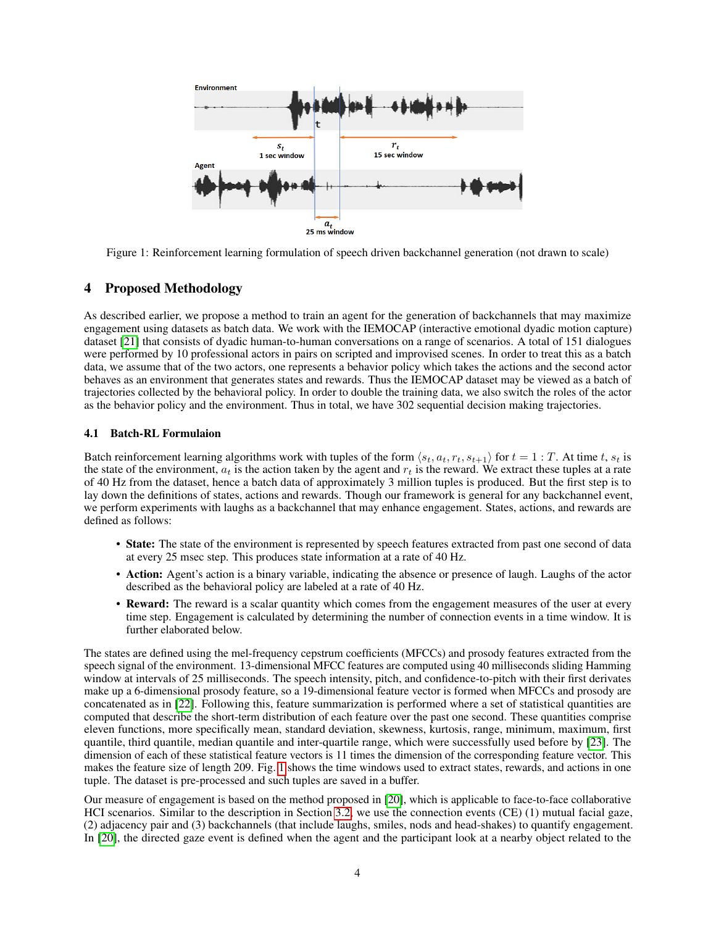

<span id="page-3-0"></span>Figure 1: Reinforcement learning formulation of speech driven backchannel generation (not drawn to scale)

# 4 Proposed Methodology

As described earlier, we propose a method to train an agent for the generation of backchannels that may maximize engagement using datasets as batch data. We work with the IEMOCAP (interactive emotional dyadic motion capture) dataset [\[21\]](#page-7-9) that consists of dyadic human-to-human conversations on a range of scenarios. A total of 151 dialogues were performed by 10 professional actors in pairs on scripted and improvised scenes. In order to treat this as a batch data, we assume that of the two actors, one represents a behavior policy which takes the actions and the second actor behaves as an environment that generates states and rewards. Thus the IEMOCAP dataset may be viewed as a batch of trajectories collected by the behavioral policy. In order to double the training data, we also switch the roles of the actor as the behavior policy and the environment. Thus in total, we have 302 sequential decision making trajectories.

## 4.1 Batch-RL Formulaion

Batch reinforcement learning algorithms work with tuples of the form  $\langle s_t, a_t, r_t, s_{t+1} \rangle$  for  $t = 1 : T$ . At time t,  $s_t$  is the state of the environment,  $a_t$  is the action taken by the agent and  $r_t$  is the reward. We extract these tuples at a rate of 40 Hz from the dataset, hence a batch data of approximately 3 million tuples is produced. But the first step is to lay down the definitions of states, actions and rewards. Though our framework is general for any backchannel event, we perform experiments with laughs as a backchannel that may enhance engagement. States, actions, and rewards are defined as follows:

- State: The state of the environment is represented by speech features extracted from past one second of data at every 25 msec step. This produces state information at a rate of 40 Hz.
- Action: Agent's action is a binary variable, indicating the absence or presence of laugh. Laughs of the actor described as the behavioral policy are labeled at a rate of 40 Hz.
- Reward: The reward is a scalar quantity which comes from the engagement measures of the user at every time step. Engagement is calculated by determining the number of connection events in a time window. It is further elaborated below.

The states are defined using the mel-frequency cepstrum coefficients (MFCCs) and prosody features extracted from the speech signal of the environment. 13-dimensional MFCC features are computed using 40 milliseconds sliding Hamming window at intervals of 25 milliseconds. The speech intensity, pitch, and confidence-to-pitch with their first derivates make up a 6-dimensional prosody feature, so a 19-dimensional feature vector is formed when MFCCs and prosody are concatenated as in [\[22\]](#page-7-10). Following this, feature summarization is performed where a set of statistical quantities are computed that describe the short-term distribution of each feature over the past one second. These quantities comprise eleven functions, more specifically mean, standard deviation, skewness, kurtosis, range, minimum, maximum, first quantile, third quantile, median quantile and inter-quartile range, which were successfully used before by [\[23\]](#page-7-11). The dimension of each of these statistical feature vectors is 11 times the dimension of the corresponding feature vector. This makes the feature size of length 209. Fig. [1](#page-3-0) shows the time windows used to extract states, rewards, and actions in one tuple. The dataset is pre-processed and such tuples are saved in a buffer.

Our measure of engagement is based on the method proposed in [\[20\]](#page-7-8), which is applicable to face-to-face collaborative HCI scenarios. Similar to the description in Section [3.2,](#page-2-0) we use the connection events (CE) (1) mutual facial gaze, (2) adjacency pair and (3) backchannels (that include laughs, smiles, nods and head-shakes) to quantify engagement. In [\[20\]](#page-7-8), the directed gaze event is defined when the agent and the participant look at a nearby object related to the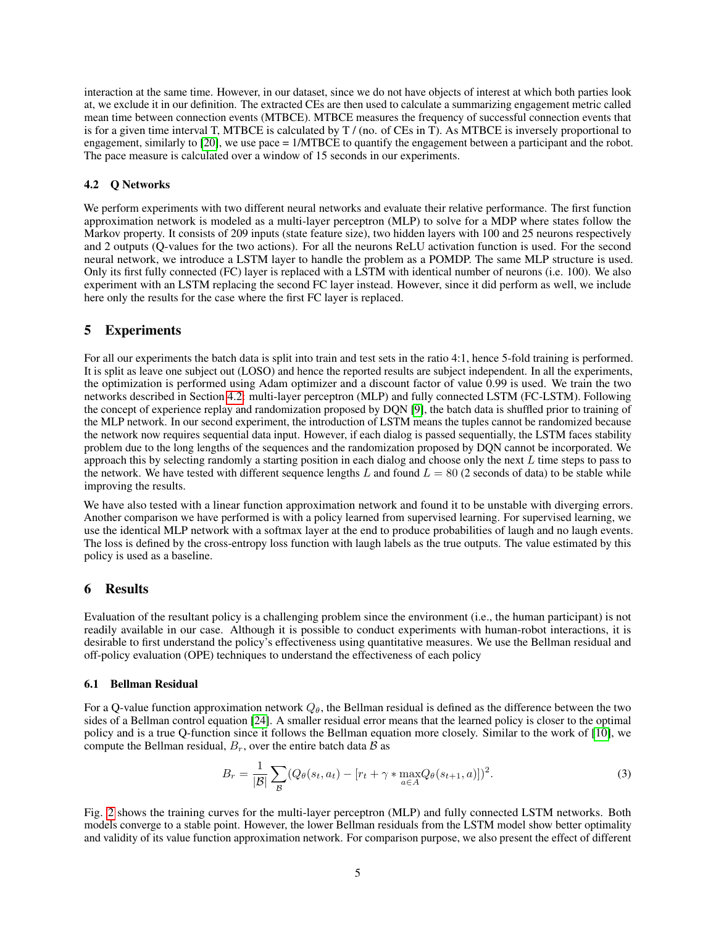interaction at the same time. However, in our dataset, since we do not have objects of interest at which both parties look at, we exclude it in our definition. The extracted CEs are then used to calculate a summarizing engagement metric called mean time between connection events (MTBCE). MTBCE measures the frequency of successful connection events that is for a given time interval T, MTBCE is calculated by T / (no. of CEs in T). As MTBCE is inversely proportional to engagement, similarly to [\[20\]](#page-7-8), we use pace = 1/MTBCE to quantify the engagement between a participant and the robot. The pace measure is calculated over a window of 15 seconds in our experiments.

### <span id="page-4-0"></span>4.2 Q Networks

We perform experiments with two different neural networks and evaluate their relative performance. The first function approximation network is modeled as a multi-layer perceptron (MLP) to solve for a MDP where states follow the Markov property. It consists of 209 inputs (state feature size), two hidden layers with 100 and 25 neurons respectively and 2 outputs (Q-values for the two actions). For all the neurons ReLU activation function is used. For the second neural network, we introduce a LSTM layer to handle the problem as a POMDP. The same MLP structure is used. Only its first fully connected (FC) layer is replaced with a LSTM with identical number of neurons (i.e. 100). We also experiment with an LSTM replacing the second FC layer instead. However, since it did perform as well, we include here only the results for the case where the first FC layer is replaced.

# 5 Experiments

For all our experiments the batch data is split into train and test sets in the ratio 4:1, hence 5-fold training is performed. It is split as leave one subject out (LOSO) and hence the reported results are subject independent. In all the experiments, the optimization is performed using Adam optimizer and a discount factor of value 0.99 is used. We train the two networks described in Section [4.2:](#page-4-0) multi-layer perceptron (MLP) and fully connected LSTM (FC-LSTM). Following the concept of experience replay and randomization proposed by DQN [\[9\]](#page-6-8), the batch data is shuffled prior to training of the MLP network. In our second experiment, the introduction of LSTM means the tuples cannot be randomized because the network now requires sequential data input. However, if each dialog is passed sequentially, the LSTM faces stability problem due to the long lengths of the sequences and the randomization proposed by DQN cannot be incorporated. We approach this by selecting randomly a starting position in each dialog and choose only the next  $L$  time steps to pass to the network. We have tested with different sequence lengths L and found  $L = 80$  (2 seconds of data) to be stable while improving the results.

We have also tested with a linear function approximation network and found it to be unstable with diverging errors. Another comparison we have performed is with a policy learned from supervised learning. For supervised learning, we use the identical MLP network with a softmax layer at the end to produce probabilities of laugh and no laugh events. The loss is defined by the cross-entropy loss function with laugh labels as the true outputs. The value estimated by this policy is used as a baseline.

### 6 Results

Evaluation of the resultant policy is a challenging problem since the environment (i.e., the human participant) is not readily available in our case. Although it is possible to conduct experiments with human-robot interactions, it is desirable to first understand the policy's effectiveness using quantitative measures. We use the Bellman residual and off-policy evaluation (OPE) techniques to understand the effectiveness of each policy

#### 6.1 Bellman Residual

For a Q-value function approximation network  $Q_{\theta}$ , the Bellman residual is defined as the difference between the two sides of a Bellman control equation [\[24\]](#page-7-12). A smaller residual error means that the learned policy is closer to the optimal policy and is a true Q-function since it follows the Bellman equation more closely. Similar to the work of [\[10\]](#page-6-9), we compute the Bellman residual,  $B_r$ , over the entire batch data  $\beta$  as

$$
B_r = \frac{1}{|\mathcal{B}|} \sum_{\mathcal{B}} (Q_{\theta}(s_t, a_t) - [r_t + \gamma * \max_{a \in A} Q_{\theta}(s_{t+1}, a)])^2.
$$
 (3)

Fig. [2](#page-5-0) shows the training curves for the multi-layer perceptron (MLP) and fully connected LSTM networks. Both models converge to a stable point. However, the lower Bellman residuals from the LSTM model show better optimality and validity of its value function approximation network. For comparison purpose, we also present the effect of different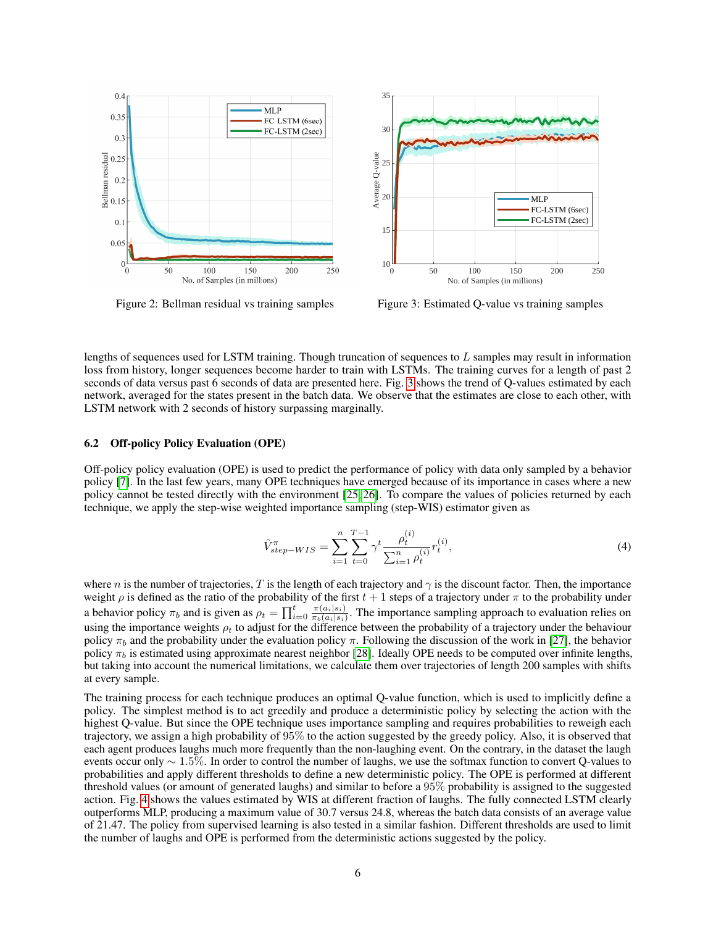

<span id="page-5-0"></span>Figure 2: Bellman residual vs training samples

<span id="page-5-1"></span>Figure 3: Estimated Q-value vs training samples

lengths of sequences used for LSTM training. Though truncation of sequences to  $L$  samples may result in information loss from history, longer sequences become harder to train with LSTMs. The training curves for a length of past 2 seconds of data versus past 6 seconds of data are presented here. Fig. [3](#page-5-1) shows the trend of Q-values estimated by each network, averaged for the states present in the batch data. We observe that the estimates are close to each other, with LSTM network with 2 seconds of history surpassing marginally.

#### 6.2 Off-policy Policy Evaluation (OPE)

Off-policy policy evaluation (OPE) is used to predict the performance of policy with data only sampled by a behavior policy [\[7\]](#page-6-6). In the last few years, many OPE techniques have emerged because of its importance in cases where a new policy cannot be tested directly with the environment [\[25,](#page-7-13) [26\]](#page-7-14). To compare the values of policies returned by each technique, we apply the step-wise weighted importance sampling (step-WIS) estimator given as

$$
\hat{V}_{step-WIS}^{\pi} = \sum_{i=1}^{n} \sum_{t=0}^{T-1} \gamma^{t} \frac{\rho_t^{(i)}}{\sum_{i=1}^{n} \rho_t^{(i)}} r_t^{(i)},
$$
\n(4)

where n is the number of trajectories, T is the length of each trajectory and  $\gamma$  is the discount factor. Then, the importance weight  $\rho$  is defined as the ratio of the probability of the first  $t + 1$  steps of a trajectory under  $\pi$  to the probability under a behavior policy  $\pi_b$  and is given as  $\rho_t = \prod_{i=0}^t \frac{\pi(a_i|s_i)}{\pi_b(a_i|s_i)}$  $\frac{\pi(a_i|s_i)}{\pi_b(a_i|s_i)}$ . The importance sampling approach to evaluation relies on using the importance weights  $\rho_t$  to adjust for the difference between the probability of a trajectory under the behaviour policy  $\pi_b$  and the probability under the evaluation policy  $\pi$ . Following the discussion of the work in [\[27\]](#page-7-15), the behavior policy  $\pi_b$  is estimated using approximate nearest neighbor [\[28\]](#page-7-16). Ideally OPE needs to be computed over infinite lengths, but taking into account the numerical limitations, we calculate them over trajectories of length 200 samples with shifts at every sample.

The training process for each technique produces an optimal Q-value function, which is used to implicitly define a policy. The simplest method is to act greedily and produce a deterministic policy by selecting the action with the highest Q-value. But since the OPE technique uses importance sampling and requires probabilities to reweigh each trajectory, we assign a high probability of 95% to the action suggested by the greedy policy. Also, it is observed that each agent produces laughs much more frequently than the non-laughing event. On the contrary, in the dataset the laugh events occur only  $\sim 1.5\%$ . In order to control the number of laughs, we use the softmax function to convert Q-values to probabilities and apply different thresholds to define a new deterministic policy. The OPE is performed at different threshold values (or amount of generated laughs) and similar to before a 95% probability is assigned to the suggested action. Fig. [4](#page-6-11) shows the values estimated by WIS at different fraction of laughs. The fully connected LSTM clearly outperforms MLP, producing a maximum value of 30.7 versus 24.8, whereas the batch data consists of an average value of 21.47. The policy from supervised learning is also tested in a similar fashion. Different thresholds are used to limit the number of laughs and OPE is performed from the deterministic actions suggested by the policy.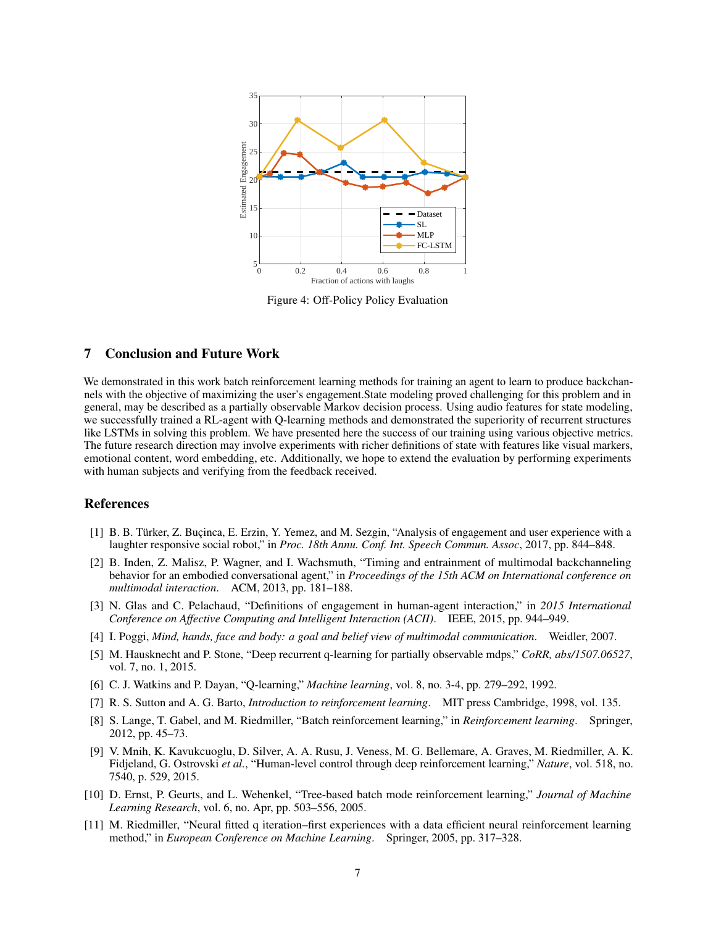

<span id="page-6-11"></span>Figure 4: Off-Policy Policy Evaluation

# 7 Conclusion and Future Work

We demonstrated in this work batch reinforcement learning methods for training an agent to learn to produce backchannels with the objective of maximizing the user's engagement.State modeling proved challenging for this problem and in general, may be described as a partially observable Markov decision process. Using audio features for state modeling, we successfully trained a RL-agent with Q-learning methods and demonstrated the superiority of recurrent structures like LSTMs in solving this problem. We have presented here the success of our training using various objective metrics. The future research direction may involve experiments with richer definitions of state with features like visual markers, emotional content, word embedding, etc. Additionally, we hope to extend the evaluation by performing experiments with human subjects and verifying from the feedback received.

# References

- <span id="page-6-0"></span>[1] B. B. Türker, Z. Buçinca, E. Erzin, Y. Yemez, and M. Sezgin, "Analysis of engagement and user experience with a laughter responsive social robot," in *Proc. 18th Annu. Conf. Int. Speech Commun. Assoc*, 2017, pp. 844–848.
- <span id="page-6-1"></span>[2] B. Inden, Z. Malisz, P. Wagner, and I. Wachsmuth, "Timing and entrainment of multimodal backchanneling behavior for an embodied conversational agent," in *Proceedings of the 15th ACM on International conference on multimodal interaction*. ACM, 2013, pp. 181–188.
- <span id="page-6-2"></span>[3] N. Glas and C. Pelachaud, "Definitions of engagement in human-agent interaction," in *2015 International Conference on Affective Computing and Intelligent Interaction (ACII)*. IEEE, 2015, pp. 944–949.
- <span id="page-6-3"></span>[4] I. Poggi, *Mind, hands, face and body: a goal and belief view of multimodal communication*. Weidler, 2007.
- <span id="page-6-4"></span>[5] M. Hausknecht and P. Stone, "Deep recurrent q-learning for partially observable mdps," *CoRR, abs/1507.06527*, vol. 7, no. 1, 2015.
- <span id="page-6-5"></span>[6] C. J. Watkins and P. Dayan, "Q-learning," *Machine learning*, vol. 8, no. 3-4, pp. 279–292, 1992.
- <span id="page-6-6"></span>[7] R. S. Sutton and A. G. Barto, *Introduction to reinforcement learning*. MIT press Cambridge, 1998, vol. 135.
- <span id="page-6-7"></span>[8] S. Lange, T. Gabel, and M. Riedmiller, "Batch reinforcement learning," in *Reinforcement learning*. Springer, 2012, pp. 45–73.
- <span id="page-6-8"></span>[9] V. Mnih, K. Kavukcuoglu, D. Silver, A. A. Rusu, J. Veness, M. G. Bellemare, A. Graves, M. Riedmiller, A. K. Fidjeland, G. Ostrovski *et al.*, "Human-level control through deep reinforcement learning," *Nature*, vol. 518, no. 7540, p. 529, 2015.
- <span id="page-6-9"></span>[10] D. Ernst, P. Geurts, and L. Wehenkel, "Tree-based batch mode reinforcement learning," *Journal of Machine Learning Research*, vol. 6, no. Apr, pp. 503–556, 2005.
- <span id="page-6-10"></span>[11] M. Riedmiller, "Neural fitted q iteration–first experiences with a data efficient neural reinforcement learning method," in *European Conference on Machine Learning*. Springer, 2005, pp. 317–328.